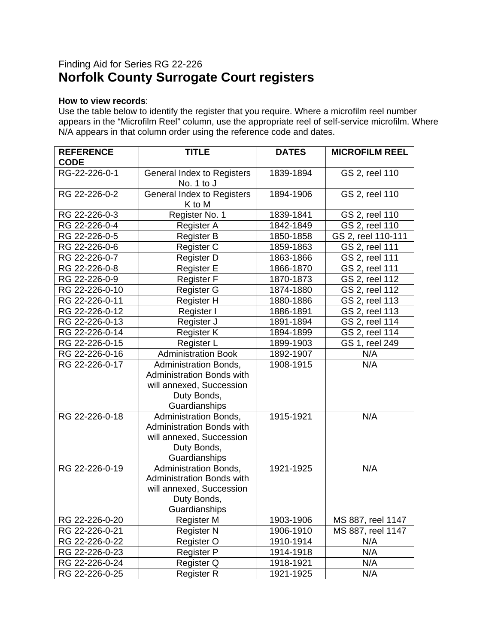## Finding Aid for Series RG 22-226 **Norfolk County Surrogate Court registers**

## **How to view records**:

Use the table below to identify the register that you require. Where a microfilm reel number appears in the "Microfilm Reel" column, use the appropriate reel of self-service microfilm. Where N/A appears in that column order using the reference code and dates.

| <b>REFERENCE</b><br><b>CODE</b> | <b>TITLE</b>                                                                                                                 | <b>DATES</b> | <b>MICROFILM REEL</b> |
|---------------------------------|------------------------------------------------------------------------------------------------------------------------------|--------------|-----------------------|
| RG-22-226-0-1                   | <b>General Index to Registers</b>                                                                                            | 1839-1894    | GS 2, reel 110        |
| RG 22-226-0-2                   | No. 1 to J<br><b>General Index to Registers</b><br>K to M                                                                    | 1894-1906    | GS 2, reel 110        |
| RG 22-226-0-3                   | Register No. 1                                                                                                               | 1839-1841    | GS 2, reel 110        |
| RG 22-226-0-4                   | Register A                                                                                                                   | 1842-1849    | GS 2, reel 110        |
| RG 22-226-0-5                   | <b>Register B</b>                                                                                                            | 1850-1858    | GS 2, reel 110-111    |
| RG 22-226-0-6                   | Register C                                                                                                                   | 1859-1863    | GS 2, reel 111        |
| RG 22-226-0-7                   | Register D                                                                                                                   | 1863-1866    | GS 2, reel 111        |
| RG 22-226-0-8                   | <b>Register E</b>                                                                                                            | 1866-1870    | GS 2, reel 111        |
| RG 22-226-0-9                   | <b>Register F</b>                                                                                                            | 1870-1873    | GS 2, reel 112        |
| RG 22-226-0-10                  | Register G                                                                                                                   | 1874-1880    | GS 2, reel 112        |
| RG 22-226-0-11                  | <b>Register H</b>                                                                                                            | 1880-1886    | GS 2, reel 113        |
| RG 22-226-0-12                  | Register I                                                                                                                   | 1886-1891    | GS 2, reel 113        |
| RG 22-226-0-13                  | Register J                                                                                                                   | 1891-1894    | GS 2, reel 114        |
| RG 22-226-0-14                  | Register K                                                                                                                   | 1894-1899    | GS 2, reel 114        |
| RG 22-226-0-15                  | Register L                                                                                                                   | 1899-1903    | GS 1, reel 249        |
| RG 22-226-0-16                  | <b>Administration Book</b>                                                                                                   | 1892-1907    | N/A                   |
| RG 22-226-0-17                  | <b>Administration Bonds,</b><br><b>Administration Bonds with</b><br>will annexed, Succession<br>Duty Bonds,<br>Guardianships | 1908-1915    | N/A                   |
| RG 22-226-0-18                  | Administration Bonds,<br><b>Administration Bonds with</b><br>will annexed, Succession<br>Duty Bonds,<br>Guardianships        | 1915-1921    | N/A                   |
| RG 22-226-0-19                  | Administration Bonds,<br><b>Administration Bonds with</b><br>will annexed, Succession<br>Duty Bonds,<br>Guardianships        | 1921-1925    | N/A                   |
| RG 22-226-0-20                  | Register M                                                                                                                   | 1903-1906    | MS 887, reel 1147     |
| RG 22-226-0-21                  | <b>Register N</b>                                                                                                            | 1906-1910    | MS 887, reel 1147     |
| RG 22-226-0-22                  | Register O                                                                                                                   | 1910-1914    | N/A                   |
| RG 22-226-0-23                  | Register P                                                                                                                   | 1914-1918    | N/A                   |
| RG 22-226-0-24                  | Register Q                                                                                                                   | 1918-1921    | N/A                   |
| RG 22-226-0-25                  | <b>Register R</b>                                                                                                            | 1921-1925    | N/A                   |